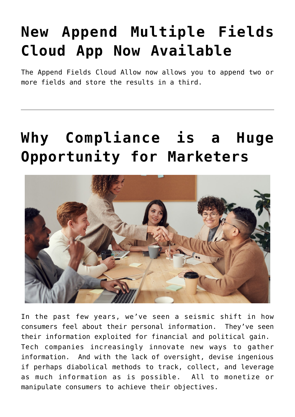# **[New Append Multiple Fields](https://4thoughtmarketing.com/products/append-multiple-fields/) [Cloud App Now Available](https://4thoughtmarketing.com/products/append-multiple-fields/)**

The Append Fields Cloud Allow now allows you to append two or more fields and store the results in a third.

## **[Why Compliance is a Huge](https://4thoughtmarketing.com/privacy-compliance-opportunity-marketers/) [Opportunity for Marketers](https://4thoughtmarketing.com/privacy-compliance-opportunity-marketers/)**



In the past few years, we've seen a seismic shift in how consumers feel about their personal information. They've seen their information exploited for financial and political gain. Tech companies increasingly innovate new ways to gather information. And with the lack of oversight, devise ingenious if perhaps diabolical methods to track, collect, and leverage as much information as is possible. All to monetize or manipulate consumers to achieve their objectives.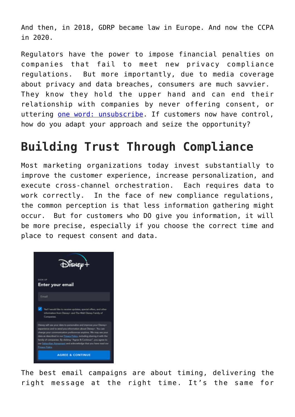And then, in 2018, GDRP became law in Europe. And now the CCPA in 2020.

Regulators have the power to impose financial penalties on companies that fail to meet new privacy compliance regulations. But more importantly, due to media coverage about privacy and data breaches, consumers are much savvier. They know they hold the upper hand and can end their relationship with companies by never offering consent, or uttering [one word: unsubscribe](https://4thoughtmarketing.com/one-word-that-kills-your-email-marketing/). If customers now have control, how do you adapt your approach and seize the opportunity?

#### **Building Trust Through Compliance**

Most marketing organizations today invest substantially to improve the customer experience, increase personalization, and execute cross-channel orchestration. Each requires data to work correctly. In the face of new compliance regulations, the common perception is that less information gathering might occur. But for customers who DO give you information, it will be more precise, especially if you choose the correct time and place to request consent and data.



The best email campaigns are about timing, delivering the right message at the right time. It's the same for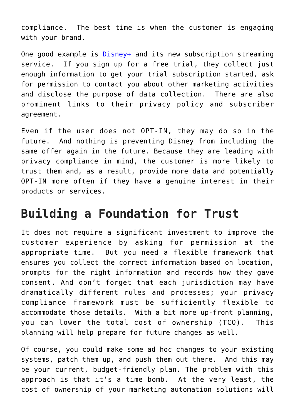compliance. The best time is when the customer is engaging with your brand.

One good example is [Disney+](https://disneyplus.com) and its new subscription streaming service. If you sign up for a free trial, they collect just enough information to get your trial subscription started, ask for permission to contact you about other marketing activities and disclose the purpose of data collection. There are also prominent links to their privacy policy and subscriber agreement.

Even if the user does not OPT-IN, they may do so in the future. And nothing is preventing Disney from including the same offer again in the future. Because they are leading with privacy compliance in mind, the customer is more likely to trust them and, as a result, provide more data and potentially OPT-IN more often if they have a genuine interest in their products or services.

#### **Building a Foundation for Trust**

It does not require a significant investment to improve the customer experience by asking for permission at the appropriate time. But you need a flexible framework that ensures you collect the correct information based on location, prompts for the right information and records how they gave consent. And don't forget that each jurisdiction may have dramatically different rules and processes; your privacy compliance framework must be sufficiently flexible to accommodate those details. With a bit more up-front planning, you can lower the total cost of ownership (TCO). This planning will help prepare for future changes as well.

Of course, you could make some ad hoc changes to your existing systems, patch them up, and push them out there. And this may be your current, budget-friendly plan. The problem with this approach is that it's a time bomb. At the very least, the cost of ownership of your marketing automation solutions will